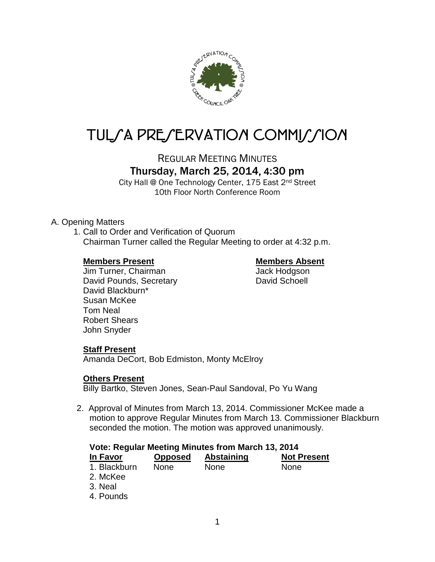

# TUL/A PRE/ERVATION COMMI*J*/ION

REGULAR MEETING MINUTES

## Thursday, March 25, 2014, 4:30 pm

City Hall @ One Technology Center, 175 East 2nd Street 10th Floor North Conference Room

#### A. Opening Matters

1. Call to Order and Verification of Quorum Chairman Turner called the Regular Meeting to order at 4:32 p.m.

#### **Members Present Members Absent**

Jim Turner, Chairman Jack Hodgson David Pounds, Secretary **David Schoell** David Blackburn\* Susan McKee Tom Neal Robert Shears John Snyder

#### **Staff Present**

Amanda DeCort, Bob Edmiston, Monty McElroy

#### **Others Present**

Billy Bartko, Steven Jones, Sean-Paul Sandoval, Po Yu Wang

2. Approval of Minutes from March 13, 2014. Commissioner McKee made a motion to approve Regular Minutes from March 13. Commissioner Blackburn seconded the motion. The motion was approved unanimously.

### **Vote: Regular Meeting Minutes from March 13, 2014**

| In Favor     | <b>Opposed</b> | <b>Abstaining</b> | <b>Not Present</b> |
|--------------|----------------|-------------------|--------------------|
| 1. Blackburn | <b>None</b>    | <b>None</b>       | <b>None</b>        |
| 2. McKee     |                |                   |                    |
| 3. Neal      |                |                   |                    |
| 4. Pounds    |                |                   |                    |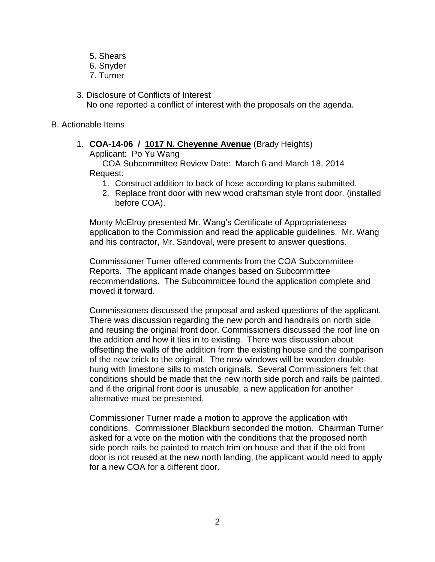- 5. Shears
- 6. Snyder
- 7. Turner
- 3. Disclosure of Conflicts of Interest No one reported a conflict of interest with the proposals on the agenda.
- B. Actionable Items
	- 1. **COA-14-06 / 1017 N. Cheyenne Avenue** (Brady Heights) Applicant: Po Yu Wang

COA Subcommittee Review Date: March 6 and March 18, 2014 Request:

- 1. Construct addition to back of hose according to plans submitted.
- 2. Replace front door with new wood craftsman style front door. (installed before COA).

Monty McElroy presented Mr. Wang's Certificate of Appropriateness application to the Commission and read the applicable guidelines. Mr. Wang and his contractor, Mr. Sandoval, were present to answer questions.

Commissioner Turner offered comments from the COA Subcommittee Reports. The applicant made changes based on Subcommittee recommendations. The Subcommittee found the application complete and moved it forward.

Commissioners discussed the proposal and asked questions of the applicant. There was discussion regarding the new porch and handrails on north side and reusing the original front door. Commissioners discussed the roof line on the addition and how it ties in to existing. There was discussion about offsetting the walls of the addition from the existing house and the comparison of the new brick to the original. The new windows will be wooden doublehung with limestone sills to match originals. Several Commissioners felt that conditions should be made that the new north side porch and rails be painted, and if the original front door is unusable, a new application for another alternative must be presented.

Commissioner Turner made a motion to approve the application with conditions. Commissioner Blackburn seconded the motion. Chairman Turner asked for a vote on the motion with the conditions that the proposed north side porch rails be painted to match trim on house and that if the old front door is not reused at the new north landing, the applicant would need to apply for a new COA for a different door.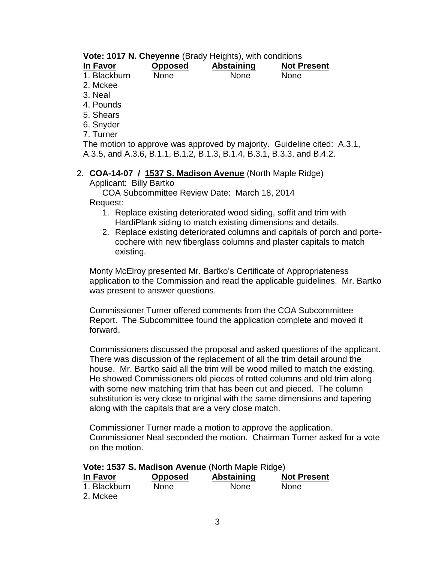**Vote: 1017 N. Cheyenne** (Brady Heights), with conditions

| In Favor     | <b>Opposed</b> | <b>Abstaining</b> | <b>Not Present</b> |
|--------------|----------------|-------------------|--------------------|
| 1. Blackburn | <b>None</b>    | None              | <b>None</b>        |
| 2. Mckee     |                |                   |                    |
| 3. Neal      |                |                   |                    |
| 4. Pounds    |                |                   |                    |

- 5. Shears
- 6. Snyder
- 7. Turner
- 

The motion to approve was approved by majority. Guideline cited: A.3.1, A.3.5, and A.3.6, B.1.1, B.1.2, B.1.3, B.1.4, B.3.1, B.3.3, and B.4.2.

#### 2. **COA-14-07 / 1537 S. Madison Avenue** (North Maple Ridge)

Applicant: Billy Bartko

COA Subcommittee Review Date: March 18, 2014 Request:

- 1. Replace existing deteriorated wood siding, soffit and trim with HardiPlank siding to match existing dimensions and details.
- 2. Replace existing deteriorated columns and capitals of porch and portecochere with new fiberglass columns and plaster capitals to match existing.

Monty McElroy presented Mr. Bartko's Certificate of Appropriateness application to the Commission and read the applicable guidelines. Mr. Bartko was present to answer questions.

Commissioner Turner offered comments from the COA Subcommittee Report. The Subcommittee found the application complete and moved it forward.

Commissioners discussed the proposal and asked questions of the applicant. There was discussion of the replacement of all the trim detail around the house. Mr. Bartko said all the trim will be wood milled to match the existing. He showed Commissioners old pieces of rotted columns and old trim along with some new matching trim that has been cut and pieced. The column substitution is very close to original with the same dimensions and tapering along with the capitals that are a very close match.

Commissioner Turner made a motion to approve the application. Commissioner Neal seconded the motion. Chairman Turner asked for a vote on the motion.

| Vote: 1537 S. Madison Avenue (North Maple Ridge) |                |             |                    |  |  |  |
|--------------------------------------------------|----------------|-------------|--------------------|--|--|--|
| In Favor                                         | <b>Opposed</b> | Abstaining  | <b>Not Present</b> |  |  |  |
| 1. Blackburn<br>2. Mckee                         | <b>None</b>    | <b>None</b> | <b>None</b>        |  |  |  |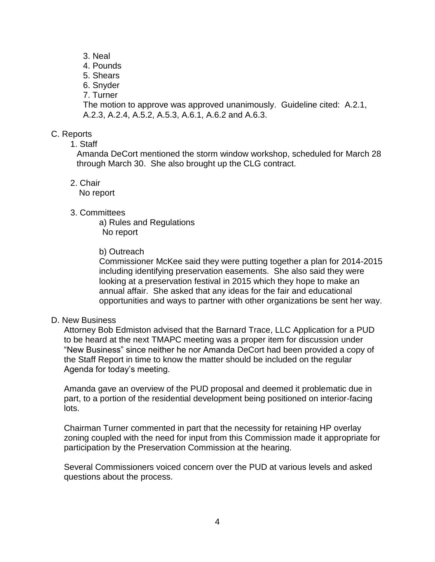- 3. Neal
- 4. Pounds
- 5. Shears
- 6. Snyder
- 7. Turner

The motion to approve was approved unanimously. Guideline cited: A.2.1, A.2.3, A.2.4, A.5.2, A.5.3, A.6.1, A.6.2 and A.6.3.

#### C. Reports

1. Staff

Amanda DeCort mentioned the storm window workshop, scheduled for March 28 through March 30. She also brought up the CLG contract.

2. Chair

No report

3. Committees

a) Rules and Regulations No report

#### b) Outreach

Commissioner McKee said they were putting together a plan for 2014-2015 including identifying preservation easements. She also said they were looking at a preservation festival in 2015 which they hope to make an annual affair. She asked that any ideas for the fair and educational opportunities and ways to partner with other organizations be sent her way.

#### D. New Business

Attorney Bob Edmiston advised that the Barnard Trace, LLC Application for a PUD to be heard at the next TMAPC meeting was a proper item for discussion under "New Business" since neither he nor Amanda DeCort had been provided a copy of the Staff Report in time to know the matter should be included on the regular Agenda for today's meeting.

Amanda gave an overview of the PUD proposal and deemed it problematic due in part, to a portion of the residential development being positioned on interior-facing lots.

Chairman Turner commented in part that the necessity for retaining HP overlay zoning coupled with the need for input from this Commission made it appropriate for participation by the Preservation Commission at the hearing.

Several Commissioners voiced concern over the PUD at various levels and asked questions about the process.